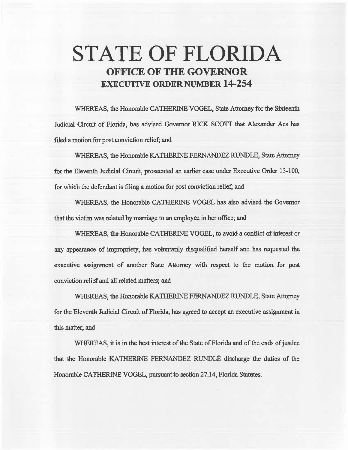# **STATE OF FLORIDA OFFICE OF THE GOVERNOR EXECUTIVE ORDER NUMBER 14-254**

WHEREAS, the Honorable CATHERINE VOGEL, State Attorney for the Sixteenth Judicial Circuit of Florida, has advised Governor RICK SCOTT that Alexander Acs has filed a motion for post conviction relief; and

WHEREAS, the Honorable KATIIERINE FERNANDEZ RUNDLE, State Attorney for the Eleventh Judicial Circuit, prosecuted an earlier case under Executive Order 13-100, for which the defendant is filing a motion for post conviction relief; and

WHEREAS, the Honorable CATHERINE VOGEL has also advised the Governor that the victim was related by marriage to an employee in her office; and

WHEREAS, the Honorable CATHERINE VOGEL, to avoid a conflict of interest or any appearance of impropriety, has voluntarily disqualified herself and has requested the executive assignment of another State Attorney with respect to the motion for post conviction relief and all related matters; and

WHEREAS, the Honorable KATHERINE FERNANDEZ RUNDLE, State Attorney for the Eleventh Judicial Circuit of Florida, has agreed to accept an executive assignment in this matter; and

WHEREAS, it is in the best interest of the State of Florida and of the ends of justice that the Honorable KA1HERJNE FERNANDEZ RUNDLE discharge the duties of the Honorable CATHERINE VOGEL, pursuant to section 27.14, Florida Statutes.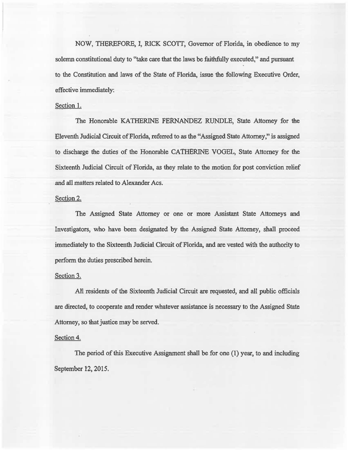NOW, THEREFORE, I, RICK SCOTT, Governor of Florida, in obedience to my solemn constitutional duty to "take care that the laws be faithfully executed," and pursuant to the Constitution and laws of the State of Florida, issue the following Executive Order, effective immediately:

## Section 1.

The Honorable KATHERINE FERNANDEZ RUNDLE, State Attorney for the Eleventh Judicial Circuit of Florida, referred to as the "Assigned State Attorney," is assigned to discharge the duties of the Honorable CATHERINE VOGEL, State Attorney for the Sixteenth Judicial Circuit of Florida, as they relate to the motion for post conviction relief and all matters related to Alexander Acs.

## Section 2.

The Assigned State Attorney or one or more Assistant State Attorneys and Investigators, who have been designated by the Assigned State Attorney, shall proceed immediately to the Sixteenth Judicial Circuit of Florida, and are vested with the authority to perform the duties prescribed herein.

#### Section 3.

AM residents of the Sixteenth Judicial Circuit are requested, and all public officials are directed, to cooperate and render whatever assistance is necessary to the Assigned State Attorney, so that justice may be served.

#### Section 4.

The period of this Executive Assignment shall be for one (1) year, to and including September 12, 2015.